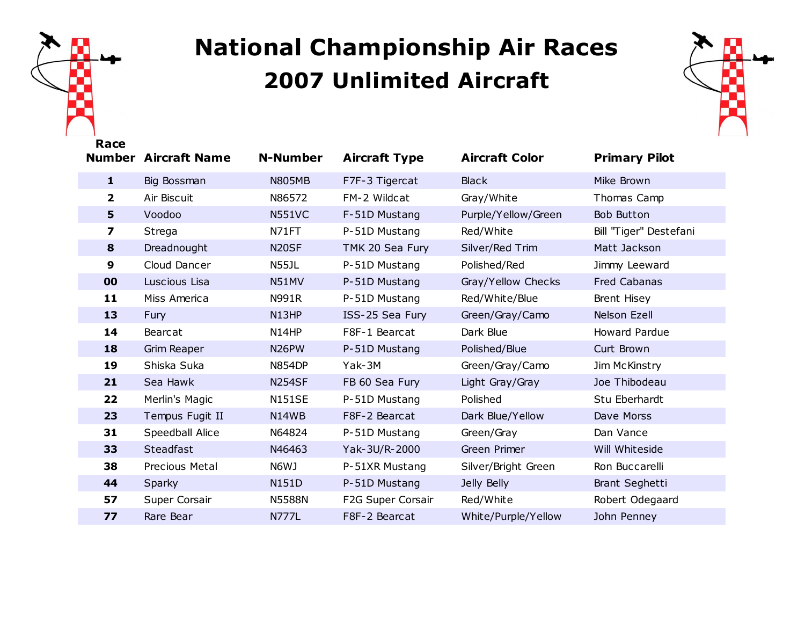

## **National Championship Air Races Unlimited Aircraft**



| Race           |                             |                    |                      |                       |                        |
|----------------|-----------------------------|--------------------|----------------------|-----------------------|------------------------|
|                | <b>Number Aircraft Name</b> | <b>N-Number</b>    | <b>Aircraft Type</b> | <b>Aircraft Color</b> | <b>Primary Pilot</b>   |
| $\mathbf{1}$   | Big Bossman                 | <b>N805MB</b>      | F7F-3 Tigercat       | <b>Black</b>          | Mike Brown             |
| $\overline{2}$ | Air Biscuit                 | N86572             | FM-2 Wildcat         | Gray/White            | Thomas Camp            |
| 5              | Voodoo                      | <b>N551VC</b>      | F-51D Mustang        | Purple/Yellow/Green   | Bob Button             |
| 7              | Strega                      | N71FT              | P-51D Mustang        | Red/White             | Bill "Tiger" Destefani |
| 8              | Dreadnought                 | N <sub>20</sub> SF | TMK 20 Sea Fury      | Silver/Red Trim       | Matt Jackson           |
| 9              | Cloud Dancer                | N55JL              | P-51D Mustang        | Polished/Red          | Jimmy Leeward          |
| 00             | Luscious Lisa               | N51MV              | P-51D Mustang        | Gray/Yellow Checks    | Fred Cabanas           |
| 11             | Miss America                | N991R              | P-51D Mustang        | Red/White/Blue        | Brent Hisey            |
| 13             | Fury                        | N13HP              | ISS-25 Sea Fury      | Green/Gray/Camo       | Nelson Ezell           |
| 14             | Bearcat                     | N14HP              | F8F-1 Bearcat        | Dark Blue             | Howard Pardue          |
| 18             | <b>Grim Reaper</b>          | N <sub>26</sub> PW | P-51D Mustang        | Polished/Blue         | Curt Brown             |
| 19             | Shiska Suka                 | <b>N854DP</b>      | Yak-3M               | Green/Gray/Camo       | Jim McKinstry          |
| 21             | Sea Hawk                    | <b>N254SF</b>      | FB 60 Sea Fury       | Light Gray/Gray       | Joe Thibodeau          |
| 22             | Merlin's Magic              | <b>N151SE</b>      | P-51D Mustang        | Polished              | Stu Eberhardt          |
| 23             | Tempus Fugit II             | N14WB              | F8F-2 Bearcat        | Dark Blue/Yellow      | Dave Morss             |
| 31             | Speedball Alice             | N64824             | P-51D Mustang        | Green/Gray            | Dan Vance              |
| 33             | Steadfast                   | N46463             | Yak-3U/R-2000        | Green Primer          | Will Whiteside         |
| 38             | Precious Metal              | N6WJ               | P-51XR Mustang       | Silver/Bright Green   | Ron Buccarelli         |
| 44             | Sparky                      | <b>N151D</b>       | P-51D Mustang        | Jelly Belly           | Brant Seghetti         |
| 57             | Super Corsair               | <b>N5588N</b>      | F2G Super Corsair    | Red/White             | Robert Odegaard        |
| 77             | Rare Bear                   | <b>N777L</b>       | F8F-2 Bearcat        | White/Purple/Yellow   | John Penney            |